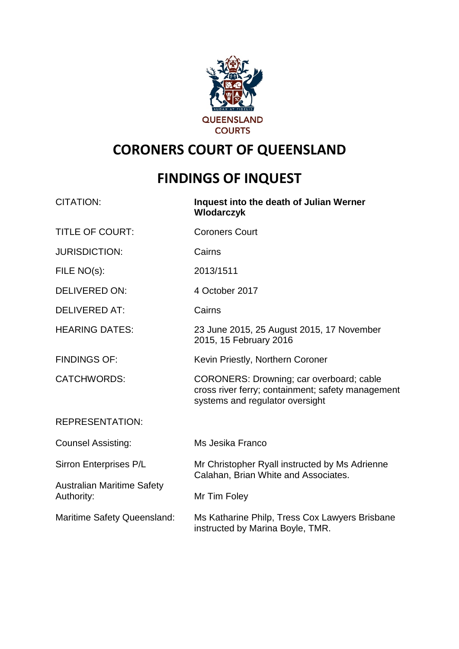

## **CORONERS COURT OF QUEENSLAND**

# **FINDINGS OF INQUEST**

| <b>CITATION:</b>                                | Inquest into the death of Julian Werner<br>Wlodarczyk                                                                            |
|-------------------------------------------------|----------------------------------------------------------------------------------------------------------------------------------|
| <b>TITLE OF COURT:</b>                          | <b>Coroners Court</b>                                                                                                            |
| <b>JURISDICTION:</b>                            | Cairns                                                                                                                           |
| FILE NO(s):                                     | 2013/1511                                                                                                                        |
| <b>DELIVERED ON:</b>                            | 4 October 2017                                                                                                                   |
| <b>DELIVERED AT:</b>                            | Cairns                                                                                                                           |
| <b>HEARING DATES:</b>                           | 23 June 2015, 25 August 2015, 17 November<br>2015, 15 February 2016                                                              |
| <b>FINDINGS OF:</b>                             | Kevin Priestly, Northern Coroner                                                                                                 |
| <b>CATCHWORDS:</b>                              | CORONERS: Drowning; car overboard; cable<br>cross river ferry; containment; safety management<br>systems and regulator oversight |
| <b>REPRESENTATION:</b>                          |                                                                                                                                  |
| <b>Counsel Assisting:</b>                       | Ms Jesika Franco                                                                                                                 |
| Sirron Enterprises P/L                          | Mr Christopher Ryall instructed by Ms Adrienne<br>Calahan, Brian White and Associates.                                           |
| <b>Australian Maritime Safety</b><br>Authority: | Mr Tim Foley                                                                                                                     |
| <b>Maritime Safety Queensland:</b>              | Ms Katharine Philp, Tress Cox Lawyers Brisbane<br>instructed by Marina Boyle, TMR.                                               |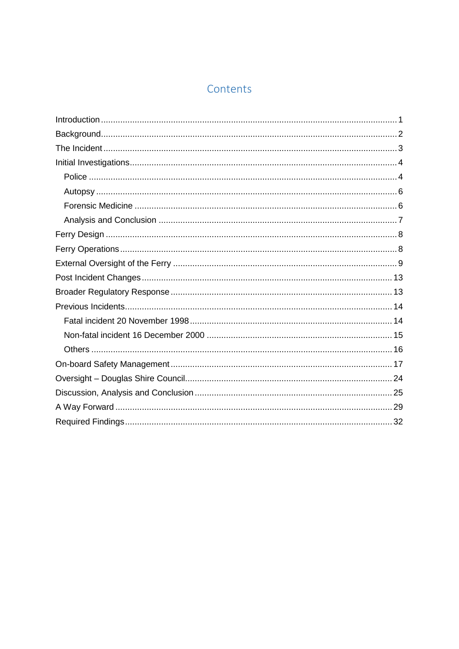## Contents

<span id="page-1-0"></span>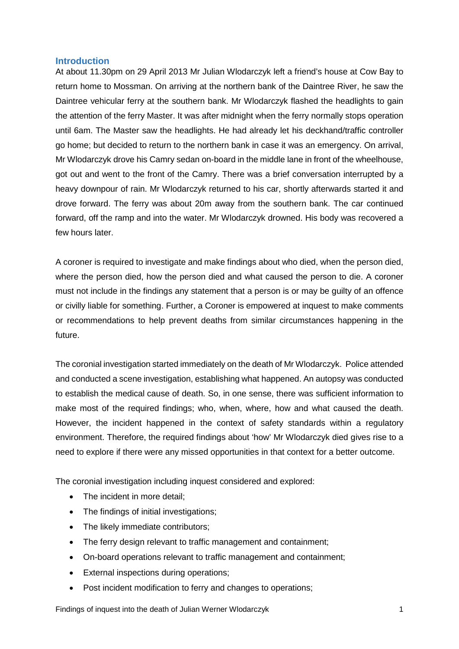#### **Introduction**

At about 11.30pm on 29 April 2013 Mr Julian Wlodarczyk left a friend's house at Cow Bay to return home to Mossman. On arriving at the northern bank of the Daintree River, he saw the Daintree vehicular ferry at the southern bank. Mr Wlodarczyk flashed the headlights to gain the attention of the ferry Master. It was after midnight when the ferry normally stops operation until 6am. The Master saw the headlights. He had already let his deckhand/traffic controller go home; but decided to return to the northern bank in case it was an emergency. On arrival, Mr Wlodarczyk drove his Camry sedan on-board in the middle lane in front of the wheelhouse, got out and went to the front of the Camry. There was a brief conversation interrupted by a heavy downpour of rain. Mr Wlodarczyk returned to his car, shortly afterwards started it and drove forward. The ferry was about 20m away from the southern bank. The car continued forward, off the ramp and into the water. Mr Wlodarczyk drowned. His body was recovered a few hours later.

A coroner is required to investigate and make findings about who died, when the person died, where the person died, how the person died and what caused the person to die. A coroner must not include in the findings any statement that a person is or may be guilty of an offence or civilly liable for something. Further, a Coroner is empowered at inquest to make comments or recommendations to help prevent deaths from similar circumstances happening in the future.

The coronial investigation started immediately on the death of Mr Wlodarczyk. Police attended and conducted a scene investigation, establishing what happened. An autopsy was conducted to establish the medical cause of death. So, in one sense, there was sufficient information to make most of the required findings; who, when, where, how and what caused the death. However, the incident happened in the context of safety standards within a regulatory environment. Therefore, the required findings about 'how' Mr Wlodarczyk died gives rise to a need to explore if there were any missed opportunities in that context for a better outcome.

The coronial investigation including inquest considered and explored:

- The incident in more detail;
- The findings of initial investigations;
- The likely immediate contributors;
- The ferry design relevant to traffic management and containment;
- On-board operations relevant to traffic management and containment;
- External inspections during operations;
- Post incident modification to ferry and changes to operations;

Findings of inquest into the death of Julian Werner Wlodarczyk 1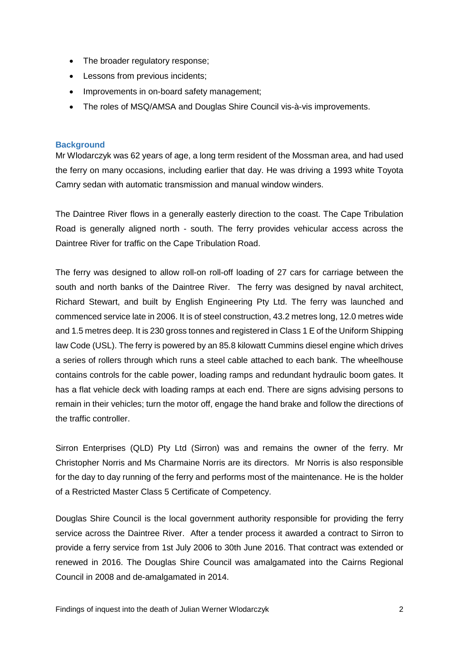- The broader regulatory response;
- Lessons from previous incidents;
- Improvements in on-board safety management;
- The roles of MSQ/AMSA and Douglas Shire Council vis-à-vis improvements.

## <span id="page-3-0"></span>**Background**

Mr Wlodarczyk was 62 years of age, a long term resident of the Mossman area, and had used the ferry on many occasions, including earlier that day. He was driving a 1993 white Toyota Camry sedan with automatic transmission and manual window winders.

The Daintree River flows in a generally easterly direction to the coast. The Cape Tribulation Road is generally aligned north - south. The ferry provides vehicular access across the Daintree River for traffic on the Cape Tribulation Road.

The ferry was designed to allow roll-on roll-off loading of 27 cars for carriage between the south and north banks of the Daintree River. The ferry was designed by naval architect, Richard Stewart, and built by English Engineering Pty Ltd. The ferry was launched and commenced service late in 2006. It is of steel construction, 43.2 metres long, 12.0 metres wide and 1.5 metres deep. It is 230 gross tonnes and registered in Class 1 E of the Uniform Shipping law Code (USL). The ferry is powered by an 85.8 kilowatt Cummins diesel engine which drives a series of rollers through which runs a steel cable attached to each bank. The wheelhouse contains controls for the cable power, loading ramps and redundant hydraulic boom gates. It has a flat vehicle deck with loading ramps at each end. There are signs advising persons to remain in their vehicles; turn the motor off, engage the hand brake and follow the directions of the traffic controller.

Sirron Enterprises (QLD) Pty Ltd (Sirron) was and remains the owner of the ferry. Mr Christopher Norris and Ms Charmaine Norris are its directors. Mr Norris is also responsible for the day to day running of the ferry and performs most of the maintenance. He is the holder of a Restricted Master Class 5 Certificate of Competency.

Douglas Shire Council is the local government authority responsible for providing the ferry service across the Daintree River. After a tender process it awarded a contract to Sirron to provide a ferry service from 1st July 2006 to 30th June 2016. That contract was extended or renewed in 2016. The Douglas Shire Council was amalgamated into the Cairns Regional Council in 2008 and de-amalgamated in 2014.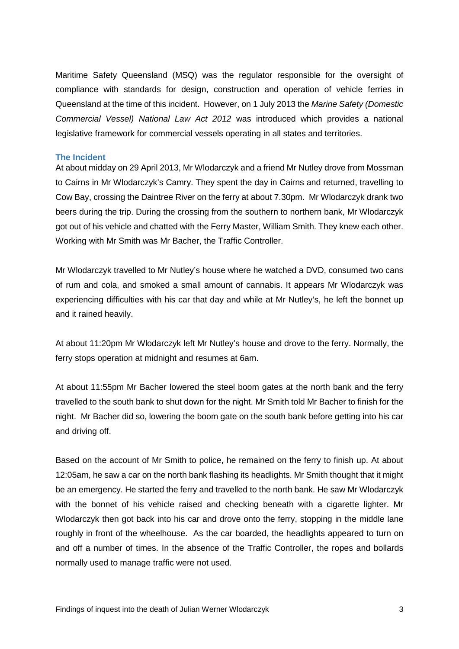Maritime Safety Queensland (MSQ) was the regulator responsible for the oversight of compliance with standards for design, construction and operation of vehicle ferries in Queensland at the time of this incident. However, on 1 July 2013 the *Marine Safety (Domestic Commercial Vessel) National Law Act 2012* was introduced which provides a national legislative framework for commercial vessels operating in all states and territories.

## <span id="page-4-0"></span>**The Incident**

At about midday on 29 April 2013, Mr Wlodarczyk and a friend Mr Nutley drove from Mossman to Cairns in Mr Wlodarczyk's Camry. They spent the day in Cairns and returned, travelling to Cow Bay, crossing the Daintree River on the ferry at about 7.30pm. Mr Wlodarczyk drank two beers during the trip. During the crossing from the southern to northern bank, Mr Wlodarczyk got out of his vehicle and chatted with the Ferry Master, William Smith. They knew each other. Working with Mr Smith was Mr Bacher, the Traffic Controller.

Mr Wlodarczyk travelled to Mr Nutley's house where he watched a DVD, consumed two cans of rum and cola, and smoked a small amount of cannabis. It appears Mr Wlodarczyk was experiencing difficulties with his car that day and while at Mr Nutley's, he left the bonnet up and it rained heavily.

At about 11:20pm Mr Wlodarczyk left Mr Nutley's house and drove to the ferry. Normally, the ferry stops operation at midnight and resumes at 6am.

At about 11:55pm Mr Bacher lowered the steel boom gates at the north bank and the ferry travelled to the south bank to shut down for the night. Mr Smith told Mr Bacher to finish for the night. Mr Bacher did so, lowering the boom gate on the south bank before getting into his car and driving off.

Based on the account of Mr Smith to police, he remained on the ferry to finish up. At about 12:05am, he saw a car on the north bank flashing its headlights. Mr Smith thought that it might be an emergency. He started the ferry and travelled to the north bank. He saw Mr Wlodarczyk with the bonnet of his vehicle raised and checking beneath with a cigarette lighter. Mr Wlodarczyk then got back into his car and drove onto the ferry, stopping in the middle lane roughly in front of the wheelhouse. As the car boarded, the headlights appeared to turn on and off a number of times. In the absence of the Traffic Controller, the ropes and bollards normally used to manage traffic were not used.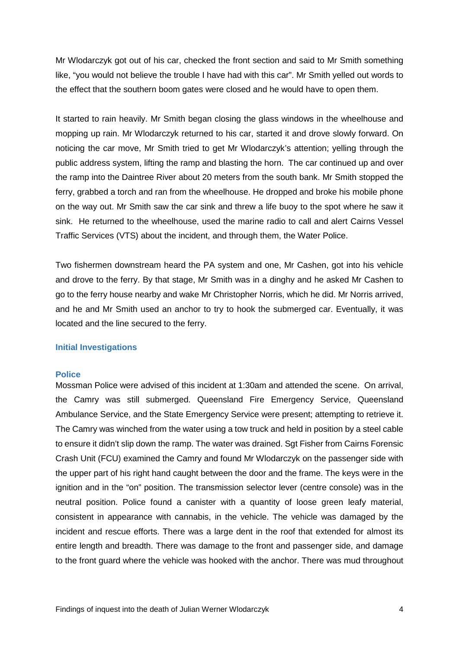Mr Wlodarczyk got out of his car, checked the front section and said to Mr Smith something like, "you would not believe the trouble I have had with this car". Mr Smith yelled out words to the effect that the southern boom gates were closed and he would have to open them.

It started to rain heavily. Mr Smith began closing the glass windows in the wheelhouse and mopping up rain. Mr Wlodarczyk returned to his car, started it and drove slowly forward. On noticing the car move, Mr Smith tried to get Mr Wlodarczyk's attention; yelling through the public address system, lifting the ramp and blasting the horn. The car continued up and over the ramp into the Daintree River about 20 meters from the south bank. Mr Smith stopped the ferry, grabbed a torch and ran from the wheelhouse. He dropped and broke his mobile phone on the way out. Mr Smith saw the car sink and threw a life buoy to the spot where he saw it sink. He returned to the wheelhouse, used the marine radio to call and alert Cairns Vessel Traffic Services (VTS) about the incident, and through them, the Water Police.

Two fishermen downstream heard the PA system and one, Mr Cashen, got into his vehicle and drove to the ferry. By that stage, Mr Smith was in a dinghy and he asked Mr Cashen to go to the ferry house nearby and wake Mr Christopher Norris, which he did. Mr Norris arrived, and he and Mr Smith used an anchor to try to hook the submerged car. Eventually, it was located and the line secured to the ferry.

## <span id="page-5-0"></span>**Initial Investigations**

#### <span id="page-5-1"></span>**Police**

Mossman Police were advised of this incident at 1:30am and attended the scene. On arrival, the Camry was still submerged. Queensland Fire Emergency Service, Queensland Ambulance Service, and the State Emergency Service were present; attempting to retrieve it. The Camry was winched from the water using a tow truck and held in position by a steel cable to ensure it didn't slip down the ramp. The water was drained. Sgt Fisher from Cairns Forensic Crash Unit (FCU) examined the Camry and found Mr Wlodarczyk on the passenger side with the upper part of his right hand caught between the door and the frame. The keys were in the ignition and in the "on" position. The transmission selector lever (centre console) was in the neutral position. Police found a canister with a quantity of loose green leafy material, consistent in appearance with cannabis, in the vehicle. The vehicle was damaged by the incident and rescue efforts. There was a large dent in the roof that extended for almost its entire length and breadth. There was damage to the front and passenger side, and damage to the front guard where the vehicle was hooked with the anchor. There was mud throughout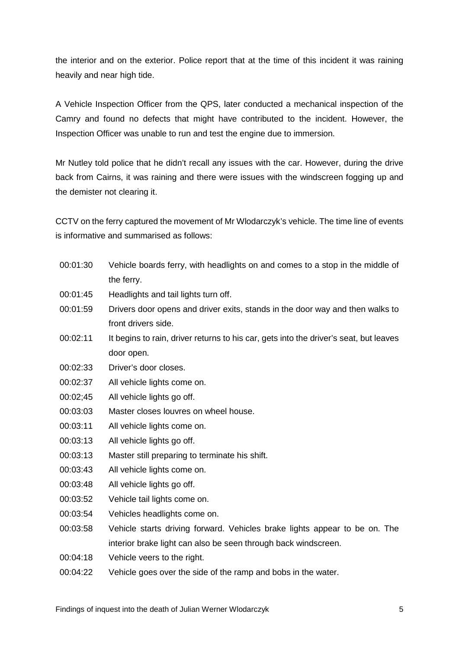the interior and on the exterior. Police report that at the time of this incident it was raining heavily and near high tide.

A Vehicle Inspection Officer from the QPS, later conducted a mechanical inspection of the Camry and found no defects that might have contributed to the incident. However, the Inspection Officer was unable to run and test the engine due to immersion.

Mr Nutley told police that he didn't recall any issues with the car. However, during the drive back from Cairns, it was raining and there were issues with the windscreen fogging up and the demister not clearing it.

CCTV on the ferry captured the movement of Mr Wlodarczyk's vehicle. The time line of events is informative and summarised as follows:

- 00:01:30 Vehicle boards ferry, with headlights on and comes to a stop in the middle of the ferry.
- 00:01:45 Headlights and tail lights turn off.
- 00:01:59 Drivers door opens and driver exits, stands in the door way and then walks to front drivers side.
- 00:02:11 It begins to rain, driver returns to his car, gets into the driver's seat, but leaves door open.
- 00:02:33 Driver's door closes.
- 00:02:37 All vehicle lights come on.
- 00:02;45 All vehicle lights go off.
- 00:03:03 Master closes louvres on wheel house.
- 00:03:11 All vehicle lights come on.
- 00:03:13 All vehicle lights go off.
- 00:03:13 Master still preparing to terminate his shift.
- 00:03:43 All vehicle lights come on.
- 00:03:48 All vehicle lights go off.
- 00:03:52 Vehicle tail lights come on.
- 00:03:54 Vehicles headlights come on.
- 00:03:58 Vehicle starts driving forward. Vehicles brake lights appear to be on. The interior brake light can also be seen through back windscreen.
- 00:04:18 Vehicle veers to the right.
- 00:04:22 Vehicle goes over the side of the ramp and bobs in the water.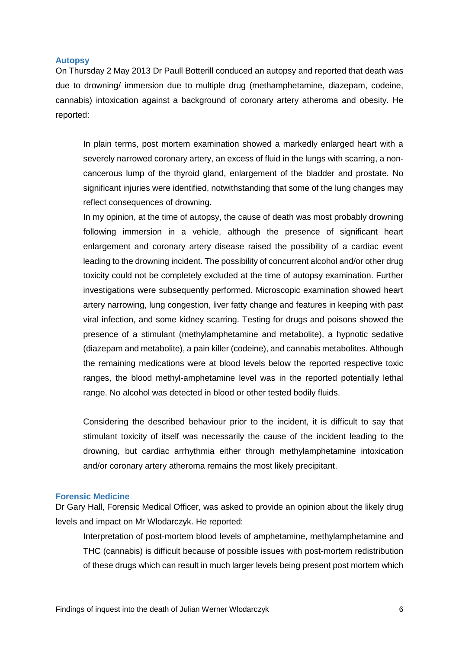## <span id="page-7-0"></span>**Autopsy**

On Thursday 2 May 2013 Dr Paull Botterill conduced an autopsy and reported that death was due to drowning/ immersion due to multiple drug (methamphetamine, diazepam, codeine, cannabis) intoxication against a background of coronary artery atheroma and obesity. He reported:

In plain terms, post mortem examination showed a markedly enlarged heart with a severely narrowed coronary artery, an excess of fluid in the lungs with scarring, a noncancerous lump of the thyroid gland, enlargement of the bladder and prostate. No significant injuries were identified, notwithstanding that some of the lung changes may reflect consequences of drowning.

In my opinion, at the time of autopsy, the cause of death was most probably drowning following immersion in a vehicle, although the presence of significant heart enlargement and coronary artery disease raised the possibility of a cardiac event leading to the drowning incident. The possibility of concurrent alcohol and/or other drug toxicity could not be completely excluded at the time of autopsy examination. Further investigations were subsequently performed. Microscopic examination showed heart artery narrowing, lung congestion, liver fatty change and features in keeping with past viral infection, and some kidney scarring. Testing for drugs and poisons showed the presence of a stimulant (methylamphetamine and metabolite), a hypnotic sedative (diazepam and metabolite), a pain killer (codeine), and cannabis metabolites. Although the remaining medications were at blood levels below the reported respective toxic ranges, the blood methyl-amphetamine level was in the reported potentially lethal range. No alcohol was detected in blood or other tested bodily fluids.

Considering the described behaviour prior to the incident, it is difficult to say that stimulant toxicity of itself was necessarily the cause of the incident leading to the drowning, but cardiac arrhythmia either through methylamphetamine intoxication and/or coronary artery atheroma remains the most likely precipitant.

### <span id="page-7-1"></span>**Forensic Medicine**

Dr Gary Hall, Forensic Medical Officer, was asked to provide an opinion about the likely drug levels and impact on Mr Wlodarczyk. He reported:

Interpretation of post-mortem blood levels of amphetamine, methylamphetamine and THC (cannabis) is difficult because of possible issues with post-mortem redistribution of these drugs which can result in much larger levels being present post mortem which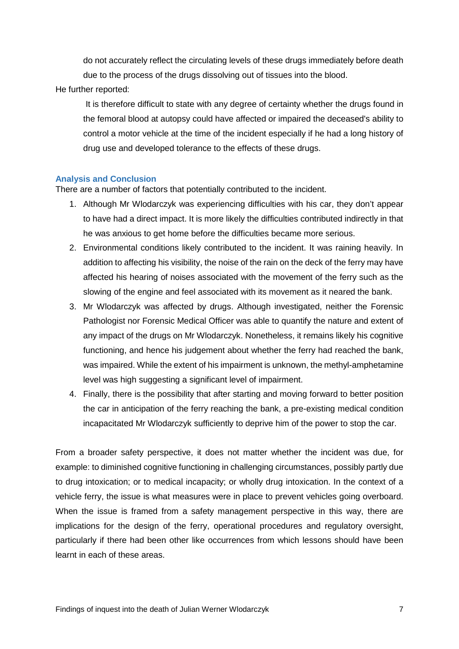do not accurately reflect the circulating levels of these drugs immediately before death due to the process of the drugs dissolving out of tissues into the blood.

He further reported:

It is therefore difficult to state with any degree of certainty whether the drugs found in the femoral blood at autopsy could have affected or impaired the deceased's ability to control a motor vehicle at the time of the incident especially if he had a long history of drug use and developed tolerance to the effects of these drugs.

## <span id="page-8-0"></span>**Analysis and Conclusion**

There are a number of factors that potentially contributed to the incident.

- 1. Although Mr Wlodarczyk was experiencing difficulties with his car, they don't appear to have had a direct impact. It is more likely the difficulties contributed indirectly in that he was anxious to get home before the difficulties became more serious.
- 2. Environmental conditions likely contributed to the incident. It was raining heavily. In addition to affecting his visibility, the noise of the rain on the deck of the ferry may have affected his hearing of noises associated with the movement of the ferry such as the slowing of the engine and feel associated with its movement as it neared the bank.
- 3. Mr Wlodarczyk was affected by drugs. Although investigated, neither the Forensic Pathologist nor Forensic Medical Officer was able to quantify the nature and extent of any impact of the drugs on Mr Wlodarczyk. Nonetheless, it remains likely his cognitive functioning, and hence his judgement about whether the ferry had reached the bank, was impaired. While the extent of his impairment is unknown, the methyl-amphetamine level was high suggesting a significant level of impairment.
- 4. Finally, there is the possibility that after starting and moving forward to better position the car in anticipation of the ferry reaching the bank, a pre-existing medical condition incapacitated Mr Wlodarczyk sufficiently to deprive him of the power to stop the car.

From a broader safety perspective, it does not matter whether the incident was due, for example: to diminished cognitive functioning in challenging circumstances, possibly partly due to drug intoxication; or to medical incapacity; or wholly drug intoxication. In the context of a vehicle ferry, the issue is what measures were in place to prevent vehicles going overboard. When the issue is framed from a safety management perspective in this way, there are implications for the design of the ferry, operational procedures and regulatory oversight, particularly if there had been other like occurrences from which lessons should have been learnt in each of these areas.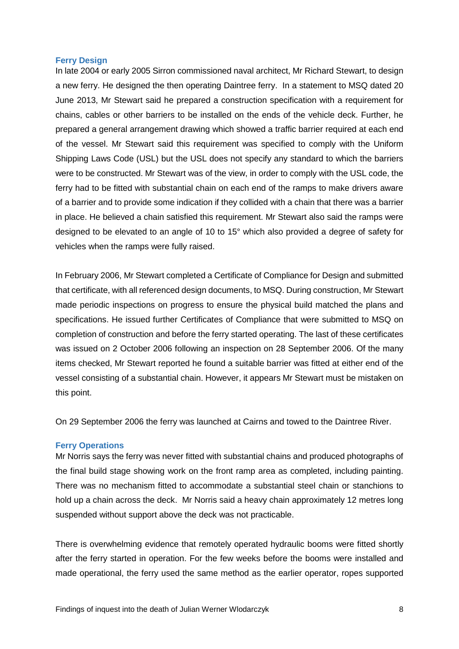## <span id="page-9-0"></span>**Ferry Design**

In late 2004 or early 2005 Sirron commissioned naval architect, Mr Richard Stewart, to design a new ferry. He designed the then operating Daintree ferry. In a statement to MSQ dated 20 June 2013, Mr Stewart said he prepared a construction specification with a requirement for chains, cables or other barriers to be installed on the ends of the vehicle deck. Further, he prepared a general arrangement drawing which showed a traffic barrier required at each end of the vessel. Mr Stewart said this requirement was specified to comply with the Uniform Shipping Laws Code (USL) but the USL does not specify any standard to which the barriers were to be constructed. Mr Stewart was of the view, in order to comply with the USL code, the ferry had to be fitted with substantial chain on each end of the ramps to make drivers aware of a barrier and to provide some indication if they collided with a chain that there was a barrier in place. He believed a chain satisfied this requirement. Mr Stewart also said the ramps were designed to be elevated to an angle of 10 to 15° which also provided a degree of safety for vehicles when the ramps were fully raised.

In February 2006, Mr Stewart completed a Certificate of Compliance for Design and submitted that certificate, with all referenced design documents, to MSQ. During construction, Mr Stewart made periodic inspections on progress to ensure the physical build matched the plans and specifications. He issued further Certificates of Compliance that were submitted to MSQ on completion of construction and before the ferry started operating. The last of these certificates was issued on 2 October 2006 following an inspection on 28 September 2006. Of the many items checked, Mr Stewart reported he found a suitable barrier was fitted at either end of the vessel consisting of a substantial chain. However, it appears Mr Stewart must be mistaken on this point.

On 29 September 2006 the ferry was launched at Cairns and towed to the Daintree River.

## <span id="page-9-1"></span>**Ferry Operations**

Mr Norris says the ferry was never fitted with substantial chains and produced photographs of the final build stage showing work on the front ramp area as completed, including painting. There was no mechanism fitted to accommodate a substantial steel chain or stanchions to hold up a chain across the deck. Mr Norris said a heavy chain approximately 12 metres long suspended without support above the deck was not practicable.

There is overwhelming evidence that remotely operated hydraulic booms were fitted shortly after the ferry started in operation. For the few weeks before the booms were installed and made operational, the ferry used the same method as the earlier operator, ropes supported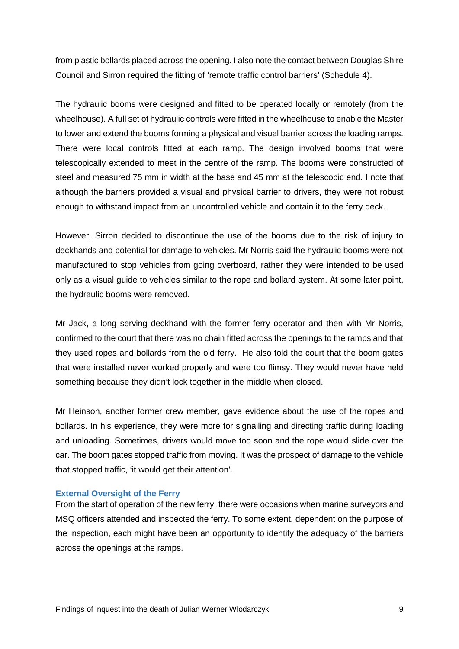from plastic bollards placed across the opening. I also note the contact between Douglas Shire Council and Sirron required the fitting of 'remote traffic control barriers' (Schedule 4).

The hydraulic booms were designed and fitted to be operated locally or remotely (from the wheelhouse). A full set of hydraulic controls were fitted in the wheelhouse to enable the Master to lower and extend the booms forming a physical and visual barrier across the loading ramps. There were local controls fitted at each ramp. The design involved booms that were telescopically extended to meet in the centre of the ramp. The booms were constructed of steel and measured 75 mm in width at the base and 45 mm at the telescopic end. I note that although the barriers provided a visual and physical barrier to drivers, they were not robust enough to withstand impact from an uncontrolled vehicle and contain it to the ferry deck.

However, Sirron decided to discontinue the use of the booms due to the risk of injury to deckhands and potential for damage to vehicles. Mr Norris said the hydraulic booms were not manufactured to stop vehicles from going overboard, rather they were intended to be used only as a visual guide to vehicles similar to the rope and bollard system. At some later point, the hydraulic booms were removed.

Mr Jack, a long serving deckhand with the former ferry operator and then with Mr Norris, confirmed to the court that there was no chain fitted across the openings to the ramps and that they used ropes and bollards from the old ferry. He also told the court that the boom gates that were installed never worked properly and were too flimsy. They would never have held something because they didn't lock together in the middle when closed.

Mr Heinson, another former crew member, gave evidence about the use of the ropes and bollards. In his experience, they were more for signalling and directing traffic during loading and unloading. Sometimes, drivers would move too soon and the rope would slide over the car. The boom gates stopped traffic from moving. It was the prospect of damage to the vehicle that stopped traffic, 'it would get their attention'.

#### <span id="page-10-0"></span>**External Oversight of the Ferry**

From the start of operation of the new ferry, there were occasions when marine surveyors and MSQ officers attended and inspected the ferry. To some extent, dependent on the purpose of the inspection, each might have been an opportunity to identify the adequacy of the barriers across the openings at the ramps.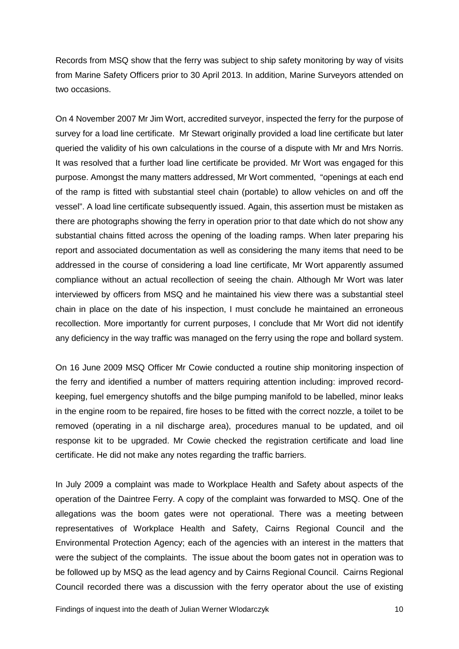Records from MSQ show that the ferry was subject to ship safety monitoring by way of visits from Marine Safety Officers prior to 30 April 2013. In addition, Marine Surveyors attended on two occasions.

On 4 November 2007 Mr Jim Wort, accredited surveyor, inspected the ferry for the purpose of survey for a load line certificate. Mr Stewart originally provided a load line certificate but later queried the validity of his own calculations in the course of a dispute with Mr and Mrs Norris. It was resolved that a further load line certificate be provided. Mr Wort was engaged for this purpose. Amongst the many matters addressed, Mr Wort commented, "openings at each end of the ramp is fitted with substantial steel chain (portable) to allow vehicles on and off the vessel". A load line certificate subsequently issued. Again, this assertion must be mistaken as there are photographs showing the ferry in operation prior to that date which do not show any substantial chains fitted across the opening of the loading ramps. When later preparing his report and associated documentation as well as considering the many items that need to be addressed in the course of considering a load line certificate, Mr Wort apparently assumed compliance without an actual recollection of seeing the chain. Although Mr Wort was later interviewed by officers from MSQ and he maintained his view there was a substantial steel chain in place on the date of his inspection, I must conclude he maintained an erroneous recollection. More importantly for current purposes, I conclude that Mr Wort did not identify any deficiency in the way traffic was managed on the ferry using the rope and bollard system.

On 16 June 2009 MSQ Officer Mr Cowie conducted a routine ship monitoring inspection of the ferry and identified a number of matters requiring attention including: improved recordkeeping, fuel emergency shutoffs and the bilge pumping manifold to be labelled, minor leaks in the engine room to be repaired, fire hoses to be fitted with the correct nozzle, a toilet to be removed (operating in a nil discharge area), procedures manual to be updated, and oil response kit to be upgraded. Mr Cowie checked the registration certificate and load line certificate. He did not make any notes regarding the traffic barriers.

In July 2009 a complaint was made to Workplace Health and Safety about aspects of the operation of the Daintree Ferry. A copy of the complaint was forwarded to MSQ. One of the allegations was the boom gates were not operational. There was a meeting between representatives of Workplace Health and Safety, Cairns Regional Council and the Environmental Protection Agency; each of the agencies with an interest in the matters that were the subject of the complaints. The issue about the boom gates not in operation was to be followed up by MSQ as the lead agency and by Cairns Regional Council. Cairns Regional Council recorded there was a discussion with the ferry operator about the use of existing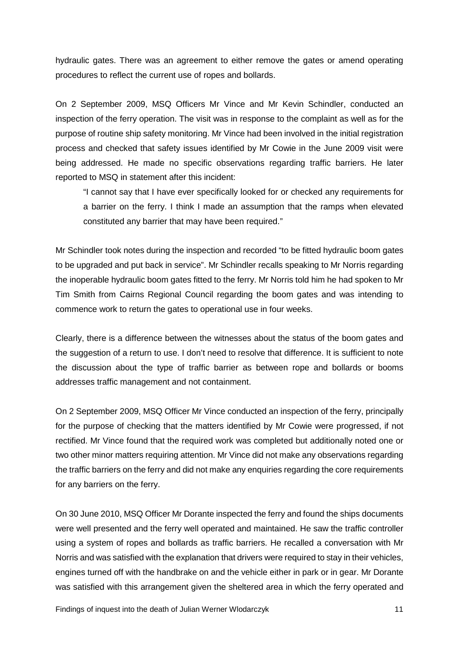hydraulic gates. There was an agreement to either remove the gates or amend operating procedures to reflect the current use of ropes and bollards.

On 2 September 2009, MSQ Officers Mr Vince and Mr Kevin Schindler, conducted an inspection of the ferry operation. The visit was in response to the complaint as well as for the purpose of routine ship safety monitoring. Mr Vince had been involved in the initial registration process and checked that safety issues identified by Mr Cowie in the June 2009 visit were being addressed. He made no specific observations regarding traffic barriers. He later reported to MSQ in statement after this incident:

"I cannot say that I have ever specifically looked for or checked any requirements for a barrier on the ferry. I think I made an assumption that the ramps when elevated constituted any barrier that may have been required."

Mr Schindler took notes during the inspection and recorded "to be fitted hydraulic boom gates to be upgraded and put back in service". Mr Schindler recalls speaking to Mr Norris regarding the inoperable hydraulic boom gates fitted to the ferry. Mr Norris told him he had spoken to Mr Tim Smith from Cairns Regional Council regarding the boom gates and was intending to commence work to return the gates to operational use in four weeks.

Clearly, there is a difference between the witnesses about the status of the boom gates and the suggestion of a return to use. I don't need to resolve that difference. It is sufficient to note the discussion about the type of traffic barrier as between rope and bollards or booms addresses traffic management and not containment.

On 2 September 2009, MSQ Officer Mr Vince conducted an inspection of the ferry, principally for the purpose of checking that the matters identified by Mr Cowie were progressed, if not rectified. Mr Vince found that the required work was completed but additionally noted one or two other minor matters requiring attention. Mr Vince did not make any observations regarding the traffic barriers on the ferry and did not make any enquiries regarding the core requirements for any barriers on the ferry.

On 30 June 2010, MSQ Officer Mr Dorante inspected the ferry and found the ships documents were well presented and the ferry well operated and maintained. He saw the traffic controller using a system of ropes and bollards as traffic barriers. He recalled a conversation with Mr Norris and was satisfied with the explanation that drivers were required to stay in their vehicles, engines turned off with the handbrake on and the vehicle either in park or in gear. Mr Dorante was satisfied with this arrangement given the sheltered area in which the ferry operated and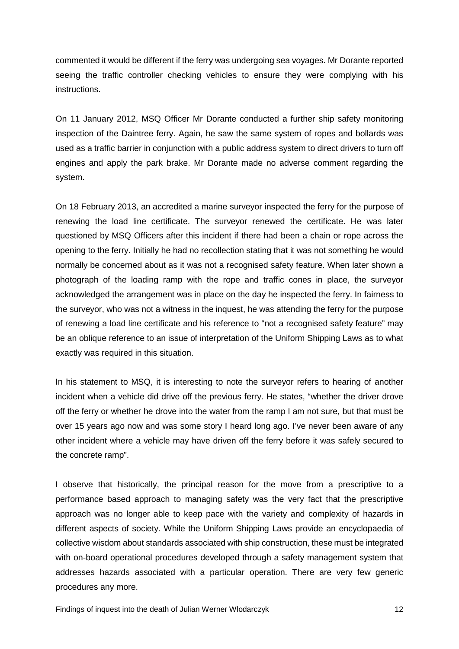commented it would be different if the ferry was undergoing sea voyages. Mr Dorante reported seeing the traffic controller checking vehicles to ensure they were complying with his instructions.

On 11 January 2012, MSQ Officer Mr Dorante conducted a further ship safety monitoring inspection of the Daintree ferry. Again, he saw the same system of ropes and bollards was used as a traffic barrier in conjunction with a public address system to direct drivers to turn off engines and apply the park brake. Mr Dorante made no adverse comment regarding the system.

On 18 February 2013, an accredited a marine surveyor inspected the ferry for the purpose of renewing the load line certificate. The surveyor renewed the certificate. He was later questioned by MSQ Officers after this incident if there had been a chain or rope across the opening to the ferry. Initially he had no recollection stating that it was not something he would normally be concerned about as it was not a recognised safety feature. When later shown a photograph of the loading ramp with the rope and traffic cones in place, the surveyor acknowledged the arrangement was in place on the day he inspected the ferry. In fairness to the surveyor, who was not a witness in the inquest, he was attending the ferry for the purpose of renewing a load line certificate and his reference to "not a recognised safety feature" may be an oblique reference to an issue of interpretation of the Uniform Shipping Laws as to what exactly was required in this situation.

In his statement to MSQ, it is interesting to note the surveyor refers to hearing of another incident when a vehicle did drive off the previous ferry. He states, "whether the driver drove off the ferry or whether he drove into the water from the ramp I am not sure, but that must be over 15 years ago now and was some story I heard long ago. I've never been aware of any other incident where a vehicle may have driven off the ferry before it was safely secured to the concrete ramp".

I observe that historically, the principal reason for the move from a prescriptive to a performance based approach to managing safety was the very fact that the prescriptive approach was no longer able to keep pace with the variety and complexity of hazards in different aspects of society. While the Uniform Shipping Laws provide an encyclopaedia of collective wisdom about standards associated with ship construction, these must be integrated with on-board operational procedures developed through a safety management system that addresses hazards associated with a particular operation. There are very few generic procedures any more.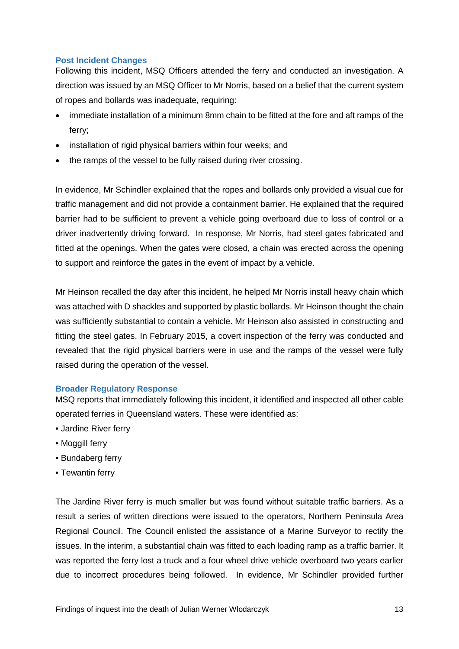## <span id="page-14-0"></span>**Post Incident Changes**

Following this incident, MSQ Officers attended the ferry and conducted an investigation. A direction was issued by an MSQ Officer to Mr Norris, based on a belief that the current system of ropes and bollards was inadequate, requiring:

- immediate installation of a minimum 8mm chain to be fitted at the fore and aft ramps of the ferry;
- installation of rigid physical barriers within four weeks; and
- the ramps of the vessel to be fully raised during river crossing.

In evidence, Mr Schindler explained that the ropes and bollards only provided a visual cue for traffic management and did not provide a containment barrier. He explained that the required barrier had to be sufficient to prevent a vehicle going overboard due to loss of control or a driver inadvertently driving forward. In response, Mr Norris, had steel gates fabricated and fitted at the openings. When the gates were closed, a chain was erected across the opening to support and reinforce the gates in the event of impact by a vehicle.

Mr Heinson recalled the day after this incident, he helped Mr Norris install heavy chain which was attached with D shackles and supported by plastic bollards. Mr Heinson thought the chain was sufficiently substantial to contain a vehicle. Mr Heinson also assisted in constructing and fitting the steel gates. In February 2015, a covert inspection of the ferry was conducted and revealed that the rigid physical barriers were in use and the ramps of the vessel were fully raised during the operation of the vessel.

## <span id="page-14-1"></span>**Broader Regulatory Response**

MSQ reports that immediately following this incident, it identified and inspected all other cable operated ferries in Queensland waters. These were identified as:

- Jardine River ferry
- Moggill ferry
- Bundaberg ferry
- Tewantin ferry

The Jardine River ferry is much smaller but was found without suitable traffic barriers. As a result a series of written directions were issued to the operators, Northern Peninsula Area Regional Council. The Council enlisted the assistance of a Marine Surveyor to rectify the issues. In the interim, a substantial chain was fitted to each loading ramp as a traffic barrier. It was reported the ferry lost a truck and a four wheel drive vehicle overboard two years earlier due to incorrect procedures being followed. In evidence, Mr Schindler provided further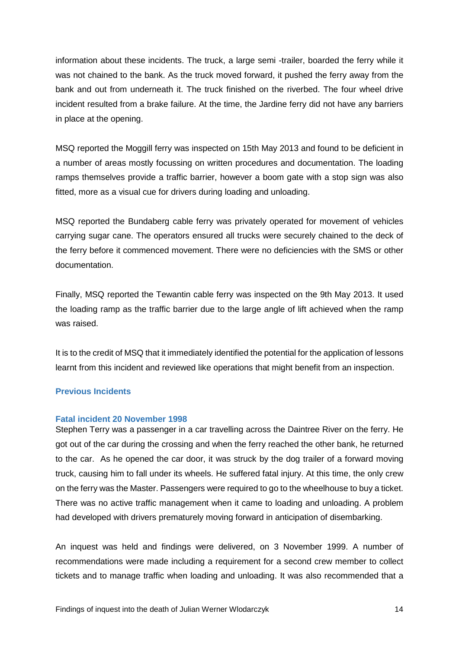information about these incidents. The truck, a large semi -trailer, boarded the ferry while it was not chained to the bank. As the truck moved forward, it pushed the ferry away from the bank and out from underneath it. The truck finished on the riverbed. The four wheel drive incident resulted from a brake failure. At the time, the Jardine ferry did not have any barriers in place at the opening.

MSQ reported the Moggill ferry was inspected on 15th May 2013 and found to be deficient in a number of areas mostly focussing on written procedures and documentation. The loading ramps themselves provide a traffic barrier, however a boom gate with a stop sign was also fitted, more as a visual cue for drivers during loading and unloading.

MSQ reported the Bundaberg cable ferry was privately operated for movement of vehicles carrying sugar cane. The operators ensured all trucks were securely chained to the deck of the ferry before it commenced movement. There were no deficiencies with the SMS or other documentation.

Finally, MSQ reported the Tewantin cable ferry was inspected on the 9th May 2013. It used the loading ramp as the traffic barrier due to the large angle of lift achieved when the ramp was raised.

It is to the credit of MSQ that it immediately identified the potential for the application of lessons learnt from this incident and reviewed like operations that might benefit from an inspection.

## <span id="page-15-0"></span>**Previous Incidents**

## <span id="page-15-1"></span>**Fatal incident 20 November 1998**

Stephen Terry was a passenger in a car travelling across the Daintree River on the ferry. He got out of the car during the crossing and when the ferry reached the other bank, he returned to the car. As he opened the car door, it was struck by the dog trailer of a forward moving truck, causing him to fall under its wheels. He suffered fatal injury. At this time, the only crew on the ferry was the Master. Passengers were required to go to the wheelhouse to buy a ticket. There was no active traffic management when it came to loading and unloading. A problem had developed with drivers prematurely moving forward in anticipation of disembarking.

An inquest was held and findings were delivered, on 3 November 1999. A number of recommendations were made including a requirement for a second crew member to collect tickets and to manage traffic when loading and unloading. It was also recommended that a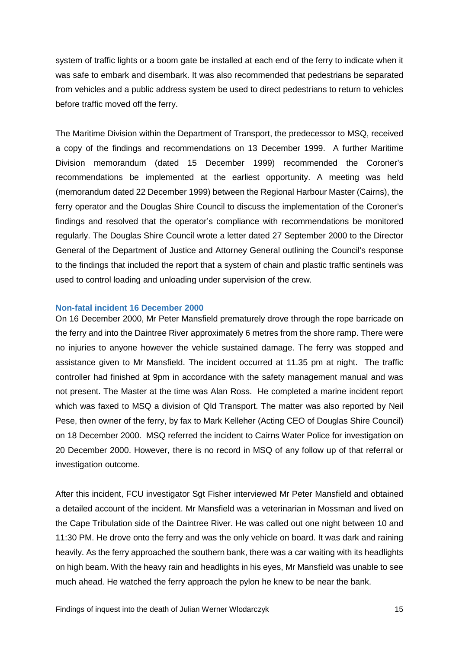system of traffic lights or a boom gate be installed at each end of the ferry to indicate when it was safe to embark and disembark. It was also recommended that pedestrians be separated from vehicles and a public address system be used to direct pedestrians to return to vehicles before traffic moved off the ferry.

The Maritime Division within the Department of Transport, the predecessor to MSQ, received a copy of the findings and recommendations on 13 December 1999. A further Maritime Division memorandum (dated 15 December 1999) recommended the Coroner's recommendations be implemented at the earliest opportunity. A meeting was held (memorandum dated 22 December 1999) between the Regional Harbour Master (Cairns), the ferry operator and the Douglas Shire Council to discuss the implementation of the Coroner's findings and resolved that the operator's compliance with recommendations be monitored regularly. The Douglas Shire Council wrote a letter dated 27 September 2000 to the Director General of the Department of Justice and Attorney General outlining the Council's response to the findings that included the report that a system of chain and plastic traffic sentinels was used to control loading and unloading under supervision of the crew.

## <span id="page-16-0"></span>**Non-fatal incident 16 December 2000**

On 16 December 2000, Mr Peter Mansfield prematurely drove through the rope barricade on the ferry and into the Daintree River approximately 6 metres from the shore ramp. There were no injuries to anyone however the vehicle sustained damage. The ferry was stopped and assistance given to Mr Mansfield. The incident occurred at 11.35 pm at night. The traffic controller had finished at 9pm in accordance with the safety management manual and was not present. The Master at the time was Alan Ross. He completed a marine incident report which was faxed to MSQ a division of Qld Transport. The matter was also reported by Neil Pese, then owner of the ferry, by fax to Mark Kelleher (Acting CEO of Douglas Shire Council) on 18 December 2000. MSQ referred the incident to Cairns Water Police for investigation on 20 December 2000. However, there is no record in MSQ of any follow up of that referral or investigation outcome.

After this incident, FCU investigator Sgt Fisher interviewed Mr Peter Mansfield and obtained a detailed account of the incident. Mr Mansfield was a veterinarian in Mossman and lived on the Cape Tribulation side of the Daintree River. He was called out one night between 10 and 11:30 PM. He drove onto the ferry and was the only vehicle on board. It was dark and raining heavily. As the ferry approached the southern bank, there was a car waiting with its headlights on high beam. With the heavy rain and headlights in his eyes, Mr Mansfield was unable to see much ahead. He watched the ferry approach the pylon he knew to be near the bank.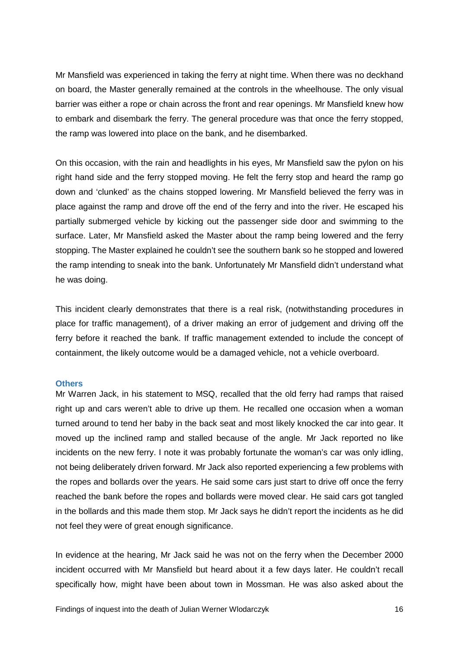Mr Mansfield was experienced in taking the ferry at night time. When there was no deckhand on board, the Master generally remained at the controls in the wheelhouse. The only visual barrier was either a rope or chain across the front and rear openings. Mr Mansfield knew how to embark and disembark the ferry. The general procedure was that once the ferry stopped, the ramp was lowered into place on the bank, and he disembarked.

On this occasion, with the rain and headlights in his eyes, Mr Mansfield saw the pylon on his right hand side and the ferry stopped moving. He felt the ferry stop and heard the ramp go down and 'clunked' as the chains stopped lowering. Mr Mansfield believed the ferry was in place against the ramp and drove off the end of the ferry and into the river. He escaped his partially submerged vehicle by kicking out the passenger side door and swimming to the surface. Later, Mr Mansfield asked the Master about the ramp being lowered and the ferry stopping. The Master explained he couldn't see the southern bank so he stopped and lowered the ramp intending to sneak into the bank. Unfortunately Mr Mansfield didn't understand what he was doing.

This incident clearly demonstrates that there is a real risk, (notwithstanding procedures in place for traffic management), of a driver making an error of judgement and driving off the ferry before it reached the bank. If traffic management extended to include the concept of containment, the likely outcome would be a damaged vehicle, not a vehicle overboard.

## <span id="page-17-0"></span>**Others**

Mr Warren Jack, in his statement to MSQ, recalled that the old ferry had ramps that raised right up and cars weren't able to drive up them. He recalled one occasion when a woman turned around to tend her baby in the back seat and most likely knocked the car into gear. It moved up the inclined ramp and stalled because of the angle. Mr Jack reported no like incidents on the new ferry. I note it was probably fortunate the woman's car was only idling, not being deliberately driven forward. Mr Jack also reported experiencing a few problems with the ropes and bollards over the years. He said some cars just start to drive off once the ferry reached the bank before the ropes and bollards were moved clear. He said cars got tangled in the bollards and this made them stop. Mr Jack says he didn't report the incidents as he did not feel they were of great enough significance.

In evidence at the hearing, Mr Jack said he was not on the ferry when the December 2000 incident occurred with Mr Mansfield but heard about it a few days later. He couldn't recall specifically how, might have been about town in Mossman. He was also asked about the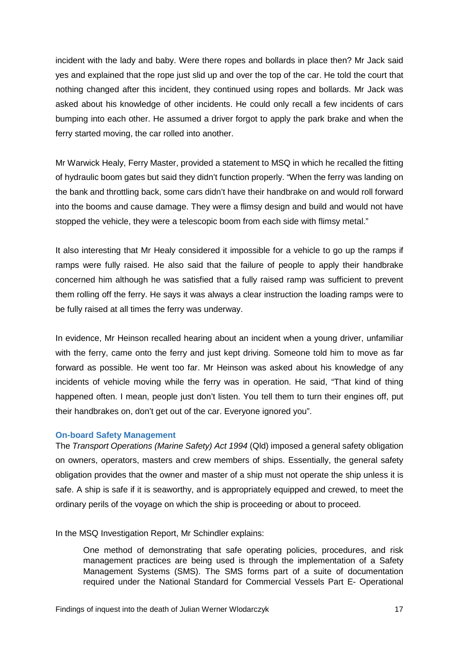incident with the lady and baby. Were there ropes and bollards in place then? Mr Jack said yes and explained that the rope just slid up and over the top of the car. He told the court that nothing changed after this incident, they continued using ropes and bollards. Mr Jack was asked about his knowledge of other incidents. He could only recall a few incidents of cars bumping into each other. He assumed a driver forgot to apply the park brake and when the ferry started moving, the car rolled into another.

Mr Warwick Healy, Ferry Master, provided a statement to MSQ in which he recalled the fitting of hydraulic boom gates but said they didn't function properly. "When the ferry was landing on the bank and throttling back, some cars didn't have their handbrake on and would roll forward into the booms and cause damage. They were a flimsy design and build and would not have stopped the vehicle, they were a telescopic boom from each side with flimsy metal."

It also interesting that Mr Healy considered it impossible for a vehicle to go up the ramps if ramps were fully raised. He also said that the failure of people to apply their handbrake concerned him although he was satisfied that a fully raised ramp was sufficient to prevent them rolling off the ferry. He says it was always a clear instruction the loading ramps were to be fully raised at all times the ferry was underway.

In evidence, Mr Heinson recalled hearing about an incident when a young driver, unfamiliar with the ferry, came onto the ferry and just kept driving. Someone told him to move as far forward as possible. He went too far. Mr Heinson was asked about his knowledge of any incidents of vehicle moving while the ferry was in operation. He said, "That kind of thing happened often. I mean, people just don't listen. You tell them to turn their engines off, put their handbrakes on, don't get out of the car. Everyone ignored you".

### <span id="page-18-0"></span>**On-board Safety Management**

The *Transport Operations (Marine Safety) Act 1994* (Qld) imposed a general safety obligation on owners, operators, masters and crew members of ships. Essentially, the general safety obligation provides that the owner and master of a ship must not operate the ship unless it is safe. A ship is safe if it is seaworthy, and is appropriately equipped and crewed, to meet the ordinary perils of the voyage on which the ship is proceeding or about to proceed.

In the MSQ Investigation Report, Mr Schindler explains:

One method of demonstrating that safe operating policies, procedures, and risk management practices are being used is through the implementation of a Safety Management Systems (SMS). The SMS forms part of a suite of documentation required under the National Standard for Commercial Vessels Part E- Operational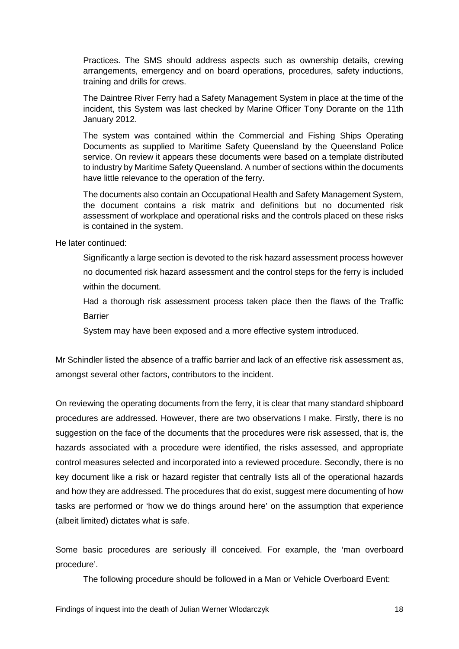Practices. The SMS should address aspects such as ownership details, crewing arrangements, emergency and on board operations, procedures, safety inductions, training and drills for crews.

The Daintree River Ferry had a Safety Management System in place at the time of the incident, this System was last checked by Marine Officer Tony Dorante on the 11th January 2012.

The system was contained within the Commercial and Fishing Ships Operating Documents as supplied to Maritime Safety Queensland by the Queensland Police service. On review it appears these documents were based on a template distributed to industry by Maritime Safety Queensland. A number of sections within the documents have little relevance to the operation of the ferry.

The documents also contain an Occupational Health and Safety Management System, the document contains a risk matrix and definitions but no documented risk assessment of workplace and operational risks and the controls placed on these risks is contained in the system.

He later continued:

Significantly a large section is devoted to the risk hazard assessment process however no documented risk hazard assessment and the control steps for the ferry is included within the document.

Had a thorough risk assessment process taken place then the flaws of the Traffic Barrier

System may have been exposed and a more effective system introduced.

Mr Schindler listed the absence of a traffic barrier and lack of an effective risk assessment as, amongst several other factors, contributors to the incident.

On reviewing the operating documents from the ferry, it is clear that many standard shipboard procedures are addressed. However, there are two observations I make. Firstly, there is no suggestion on the face of the documents that the procedures were risk assessed, that is, the hazards associated with a procedure were identified, the risks assessed, and appropriate control measures selected and incorporated into a reviewed procedure. Secondly, there is no key document like a risk or hazard register that centrally lists all of the operational hazards and how they are addressed. The procedures that do exist, suggest mere documenting of how tasks are performed or 'how we do things around here' on the assumption that experience (albeit limited) dictates what is safe.

Some basic procedures are seriously ill conceived. For example, the 'man overboard procedure'.

The following procedure should be followed in a Man or Vehicle Overboard Event: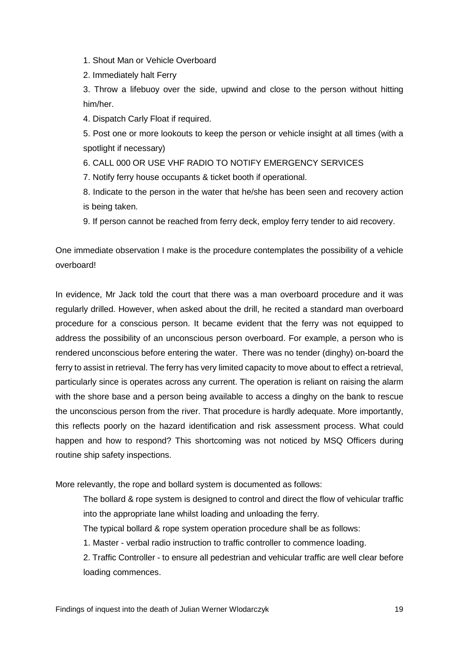1. Shout Man or Vehicle Overboard

2. Immediately halt Ferry

3. Throw a lifebuoy over the side, upwind and close to the person without hitting him/her.

4. Dispatch Carly Float if required.

5. Post one or more lookouts to keep the person or vehicle insight at all times (with a spotlight if necessary)

6. CALL 000 OR USE VHF RADIO TO NOTIFY EMERGENCY SERVICES

7. Notify ferry house occupants & ticket booth if operational.

8. Indicate to the person in the water that he/she has been seen and recovery action is being taken.

9. If person cannot be reached from ferry deck, employ ferry tender to aid recovery.

One immediate observation I make is the procedure contemplates the possibility of a vehicle overboard!

In evidence, Mr Jack told the court that there was a man overboard procedure and it was regularly drilled. However, when asked about the drill, he recited a standard man overboard procedure for a conscious person. It became evident that the ferry was not equipped to address the possibility of an unconscious person overboard. For example, a person who is rendered unconscious before entering the water. There was no tender (dinghy) on-board the ferry to assist in retrieval. The ferry has very limited capacity to move about to effect a retrieval, particularly since is operates across any current. The operation is reliant on raising the alarm with the shore base and a person being available to access a dinghy on the bank to rescue the unconscious person from the river. That procedure is hardly adequate. More importantly, this reflects poorly on the hazard identification and risk assessment process. What could happen and how to respond? This shortcoming was not noticed by MSQ Officers during routine ship safety inspections.

More relevantly, the rope and bollard system is documented as follows:

The bollard & rope system is designed to control and direct the flow of vehicular traffic into the appropriate lane whilst loading and unloading the ferry.

The typical bollard & rope system operation procedure shall be as follows:

1. Master - verbal radio instruction to traffic controller to commence loading.

2. Traffic Controller - to ensure all pedestrian and vehicular traffic are well clear before loading commences.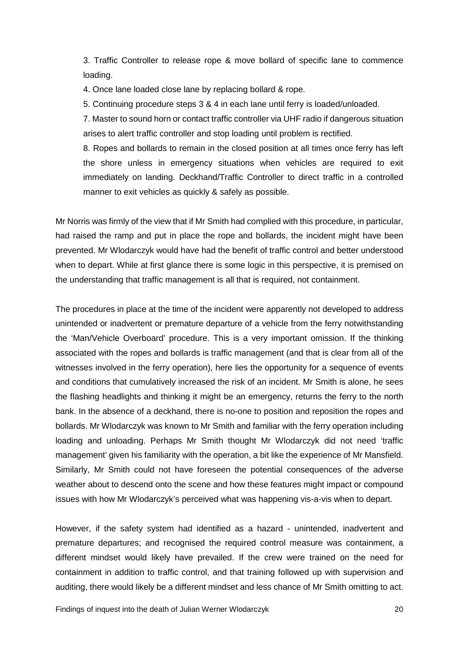3. Traffic Controller to release rope & move bollard of specific lane to commence loading.

4. Once lane loaded close lane by replacing bollard & rope.

5. Continuing procedure steps 3 & 4 in each lane until ferry is loaded/unloaded.

7. Master to sound horn or contact traffic controller via UHF radio if dangerous situation arises to alert traffic controller and stop loading until problem is rectified.

8. Ropes and bollards to remain in the closed position at all times once ferry has left the shore unless in emergency situations when vehicles are required to exit immediately on landing. Deckhand/Traffic Controller to direct traffic in a controlled manner to exit vehicles as quickly & safely as possible.

Mr Norris was firmly of the view that if Mr Smith had complied with this procedure, in particular, had raised the ramp and put in place the rope and bollards, the incident might have been prevented. Mr Wlodarczyk would have had the benefit of traffic control and better understood when to depart. While at first glance there is some logic in this perspective, it is premised on the understanding that traffic management is all that is required, not containment.

The procedures in place at the time of the incident were apparently not developed to address unintended or inadvertent or premature departure of a vehicle from the ferry notwithstanding the 'Man/Vehicle Overboard' procedure. This is a very important omission. If the thinking associated with the ropes and bollards is traffic management (and that is clear from all of the witnesses involved in the ferry operation), here lies the opportunity for a sequence of events and conditions that cumulatively increased the risk of an incident. Mr Smith is alone, he sees the flashing headlights and thinking it might be an emergency, returns the ferry to the north bank. In the absence of a deckhand, there is no-one to position and reposition the ropes and bollards. Mr Wlodarczyk was known to Mr Smith and familiar with the ferry operation including loading and unloading. Perhaps Mr Smith thought Mr Wlodarczyk did not need 'traffic management' given his familiarity with the operation, a bit like the experience of Mr Mansfield. Similarly, Mr Smith could not have foreseen the potential consequences of the adverse weather about to descend onto the scene and how these features might impact or compound issues with how Mr Wlodarczyk's perceived what was happening vis-a-vis when to depart.

However, if the safety system had identified as a hazard - unintended, inadvertent and premature departures; and recognised the required control measure was containment, a different mindset would likely have prevailed. If the crew were trained on the need for containment in addition to traffic control, and that training followed up with supervision and auditing, there would likely be a different mindset and less chance of Mr Smith omitting to act.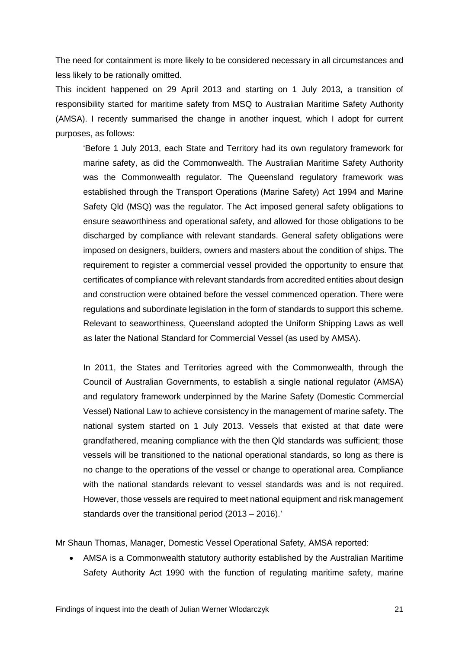The need for containment is more likely to be considered necessary in all circumstances and less likely to be rationally omitted.

This incident happened on 29 April 2013 and starting on 1 July 2013, a transition of responsibility started for maritime safety from MSQ to Australian Maritime Safety Authority (AMSA). I recently summarised the change in another inquest, which I adopt for current purposes, as follows:

'Before 1 July 2013, each State and Territory had its own regulatory framework for marine safety, as did the Commonwealth. The Australian Maritime Safety Authority was the Commonwealth regulator. The Queensland regulatory framework was established through the Transport Operations (Marine Safety) Act 1994 and Marine Safety Qld (MSQ) was the regulator. The Act imposed general safety obligations to ensure seaworthiness and operational safety, and allowed for those obligations to be discharged by compliance with relevant standards. General safety obligations were imposed on designers, builders, owners and masters about the condition of ships. The requirement to register a commercial vessel provided the opportunity to ensure that certificates of compliance with relevant standards from accredited entities about design and construction were obtained before the vessel commenced operation. There were regulations and subordinate legislation in the form of standards to support this scheme. Relevant to seaworthiness, Queensland adopted the Uniform Shipping Laws as well as later the National Standard for Commercial Vessel (as used by AMSA).

In 2011, the States and Territories agreed with the Commonwealth, through the Council of Australian Governments, to establish a single national regulator (AMSA) and regulatory framework underpinned by the Marine Safety (Domestic Commercial Vessel) National Law to achieve consistency in the management of marine safety. The national system started on 1 July 2013. Vessels that existed at that date were grandfathered, meaning compliance with the then Qld standards was sufficient; those vessels will be transitioned to the national operational standards, so long as there is no change to the operations of the vessel or change to operational area. Compliance with the national standards relevant to vessel standards was and is not required. However, those vessels are required to meet national equipment and risk management standards over the transitional period (2013 – 2016).'

Mr Shaun Thomas, Manager, Domestic Vessel Operational Safety, AMSA reported:

• AMSA is a Commonwealth statutory authority established by the Australian Maritime Safety Authority Act 1990 with the function of regulating maritime safety, marine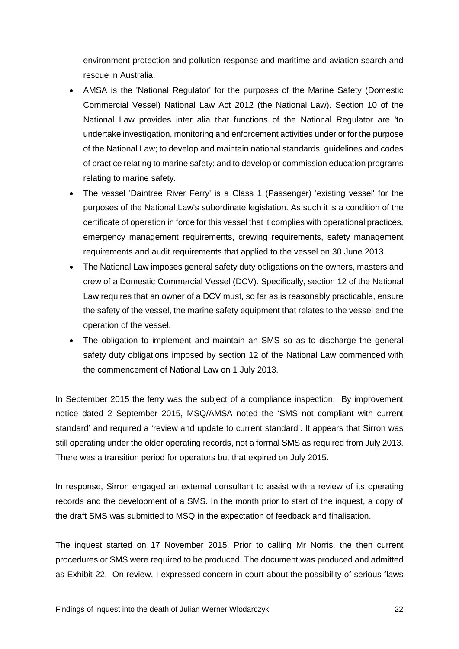environment protection and pollution response and maritime and aviation search and rescue in Australia.

- AMSA is the 'National Regulator' for the purposes of the Marine Safety (Domestic Commercial Vessel) National Law Act 2012 (the National Law). Section 10 of the National Law provides inter alia that functions of the National Regulator are 'to undertake investigation, monitoring and enforcement activities under or for the purpose of the National Law; to develop and maintain national standards, guidelines and codes of practice relating to marine safety; and to develop or commission education programs relating to marine safety.
- The vessel 'Daintree River Ferry' is a Class 1 (Passenger) 'existing vessel' for the purposes of the National Law's subordinate legislation. As such it is a condition of the certificate of operation in force for this vessel that it complies with operational practices, emergency management requirements, crewing requirements, safety management requirements and audit requirements that applied to the vessel on 30 June 2013.
- The National Law imposes general safety duty obligations on the owners, masters and crew of a Domestic Commercial Vessel (DCV). Specifically, section 12 of the National Law requires that an owner of a DCV must, so far as is reasonably practicable, ensure the safety of the vessel, the marine safety equipment that relates to the vessel and the operation of the vessel.
- The obligation to implement and maintain an SMS so as to discharge the general safety duty obligations imposed by section 12 of the National Law commenced with the commencement of National Law on 1 July 2013.

In September 2015 the ferry was the subject of a compliance inspection. By improvement notice dated 2 September 2015, MSQ/AMSA noted the 'SMS not compliant with current standard' and required a 'review and update to current standard'. It appears that Sirron was still operating under the older operating records, not a formal SMS as required from July 2013. There was a transition period for operators but that expired on July 2015.

In response, Sirron engaged an external consultant to assist with a review of its operating records and the development of a SMS. In the month prior to start of the inquest, a copy of the draft SMS was submitted to MSQ in the expectation of feedback and finalisation.

The inquest started on 17 November 2015. Prior to calling Mr Norris, the then current procedures or SMS were required to be produced. The document was produced and admitted as Exhibit 22. On review, I expressed concern in court about the possibility of serious flaws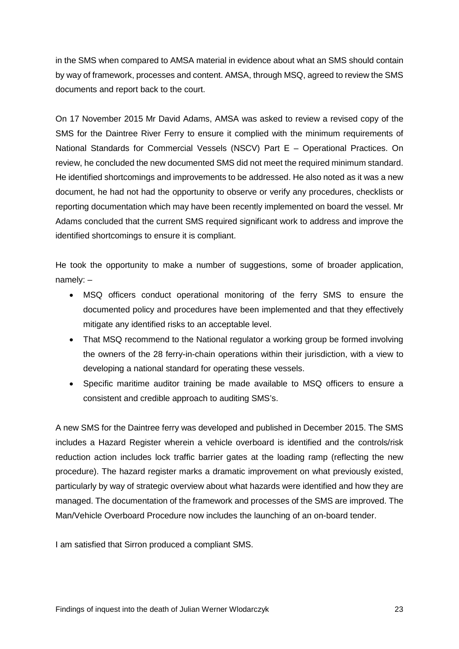in the SMS when compared to AMSA material in evidence about what an SMS should contain by way of framework, processes and content. AMSA, through MSQ, agreed to review the SMS documents and report back to the court.

On 17 November 2015 Mr David Adams, AMSA was asked to review a revised copy of the SMS for the Daintree River Ferry to ensure it complied with the minimum requirements of National Standards for Commercial Vessels (NSCV) Part E – Operational Practices. On review, he concluded the new documented SMS did not meet the required minimum standard. He identified shortcomings and improvements to be addressed. He also noted as it was a new document, he had not had the opportunity to observe or verify any procedures, checklists or reporting documentation which may have been recently implemented on board the vessel. Mr Adams concluded that the current SMS required significant work to address and improve the identified shortcomings to ensure it is compliant.

He took the opportunity to make a number of suggestions, some of broader application, namely: –

- MSQ officers conduct operational monitoring of the ferry SMS to ensure the documented policy and procedures have been implemented and that they effectively mitigate any identified risks to an acceptable level.
- That MSQ recommend to the National regulator a working group be formed involving the owners of the 28 ferry-in-chain operations within their jurisdiction, with a view to developing a national standard for operating these vessels.
- Specific maritime auditor training be made available to MSQ officers to ensure a consistent and credible approach to auditing SMS's.

A new SMS for the Daintree ferry was developed and published in December 2015. The SMS includes a Hazard Register wherein a vehicle overboard is identified and the controls/risk reduction action includes lock traffic barrier gates at the loading ramp (reflecting the new procedure). The hazard register marks a dramatic improvement on what previously existed, particularly by way of strategic overview about what hazards were identified and how they are managed. The documentation of the framework and processes of the SMS are improved. The Man/Vehicle Overboard Procedure now includes the launching of an on-board tender.

I am satisfied that Sirron produced a compliant SMS.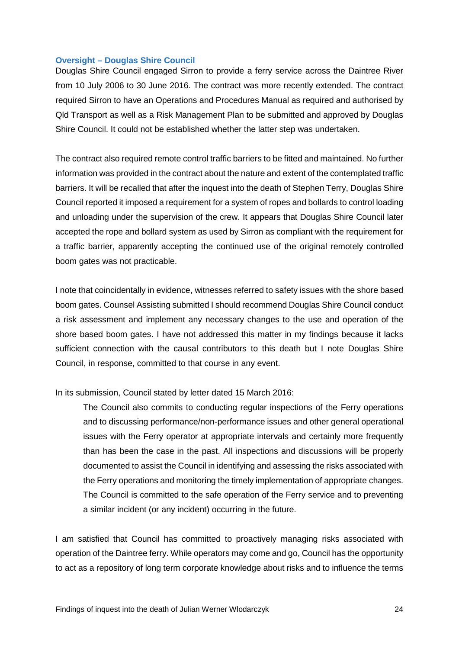## <span id="page-25-0"></span>**Oversight – Douglas Shire Council**

Douglas Shire Council engaged Sirron to provide a ferry service across the Daintree River from 10 July 2006 to 30 June 2016. The contract was more recently extended. The contract required Sirron to have an Operations and Procedures Manual as required and authorised by Qld Transport as well as a Risk Management Plan to be submitted and approved by Douglas Shire Council. It could not be established whether the latter step was undertaken.

The contract also required remote control traffic barriers to be fitted and maintained. No further information was provided in the contract about the nature and extent of the contemplated traffic barriers. It will be recalled that after the inquest into the death of Stephen Terry, Douglas Shire Council reported it imposed a requirement for a system of ropes and bollards to control loading and unloading under the supervision of the crew. It appears that Douglas Shire Council later accepted the rope and bollard system as used by Sirron as compliant with the requirement for a traffic barrier, apparently accepting the continued use of the original remotely controlled boom gates was not practicable.

I note that coincidentally in evidence, witnesses referred to safety issues with the shore based boom gates. Counsel Assisting submitted I should recommend Douglas Shire Council conduct a risk assessment and implement any necessary changes to the use and operation of the shore based boom gates. I have not addressed this matter in my findings because it lacks sufficient connection with the causal contributors to this death but I note Douglas Shire Council, in response, committed to that course in any event.

In its submission, Council stated by letter dated 15 March 2016:

The Council also commits to conducting regular inspections of the Ferry operations and to discussing performance/non-performance issues and other general operational issues with the Ferry operator at appropriate intervals and certainly more frequently than has been the case in the past. All inspections and discussions will be properly documented to assist the Council in identifying and assessing the risks associated with the Ferry operations and monitoring the timely implementation of appropriate changes. The Council is committed to the safe operation of the Ferry service and to preventing a similar incident (or any incident) occurring in the future.

I am satisfied that Council has committed to proactively managing risks associated with operation of the Daintree ferry. While operators may come and go, Council has the opportunity to act as a repository of long term corporate knowledge about risks and to influence the terms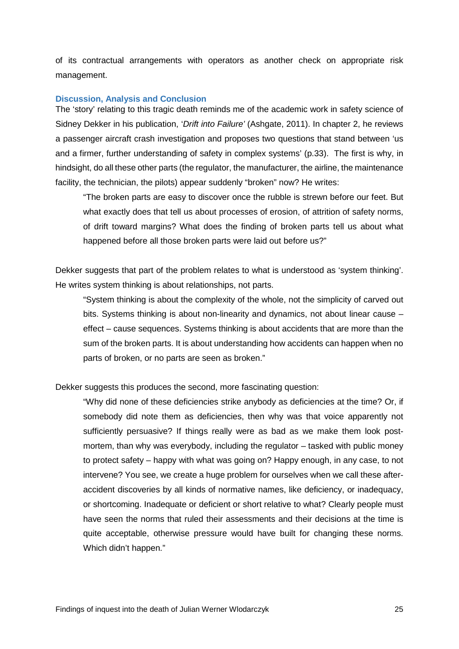of its contractual arrangements with operators as another check on appropriate risk management.

## <span id="page-26-0"></span>**Discussion, Analysis and Conclusion**

The 'story' relating to this tragic death reminds me of the academic work in safety science of Sidney Dekker in his publication, '*Drift into Failure'* (Ashgate, 2011). In chapter 2, he reviews a passenger aircraft crash investigation and proposes two questions that stand between 'us and a firmer, further understanding of safety in complex systems' (p.33). The first is why, in hindsight, do all these other parts (the regulator, the manufacturer, the airline, the maintenance facility, the technician, the pilots) appear suddenly "broken" now? He writes:

"The broken parts are easy to discover once the rubble is strewn before our feet. But what exactly does that tell us about processes of erosion, of attrition of safety norms, of drift toward margins? What does the finding of broken parts tell us about what happened before all those broken parts were laid out before us?"

Dekker suggests that part of the problem relates to what is understood as 'system thinking'. He writes system thinking is about relationships, not parts.

"System thinking is about the complexity of the whole, not the simplicity of carved out bits. Systems thinking is about non-linearity and dynamics, not about linear cause – effect – cause sequences. Systems thinking is about accidents that are more than the sum of the broken parts. It is about understanding how accidents can happen when no parts of broken, or no parts are seen as broken."

Dekker suggests this produces the second, more fascinating question:

"Why did none of these deficiencies strike anybody as deficiencies at the time? Or, if somebody did note them as deficiencies, then why was that voice apparently not sufficiently persuasive? If things really were as bad as we make them look postmortem, than why was everybody, including the regulator – tasked with public money to protect safety – happy with what was going on? Happy enough, in any case, to not intervene? You see, we create a huge problem for ourselves when we call these afteraccident discoveries by all kinds of normative names, like deficiency, or inadequacy, or shortcoming. Inadequate or deficient or short relative to what? Clearly people must have seen the norms that ruled their assessments and their decisions at the time is quite acceptable, otherwise pressure would have built for changing these norms. Which didn't happen."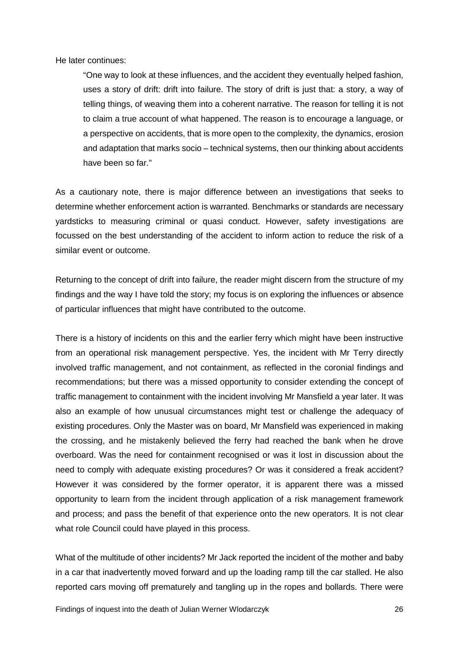He later continues:

"One way to look at these influences, and the accident they eventually helped fashion, uses a story of drift: drift into failure. The story of drift is just that: a story, a way of telling things, of weaving them into a coherent narrative. The reason for telling it is not to claim a true account of what happened. The reason is to encourage a language, or a perspective on accidents, that is more open to the complexity, the dynamics, erosion and adaptation that marks socio – technical systems, then our thinking about accidents have been so far."

As a cautionary note, there is major difference between an investigations that seeks to determine whether enforcement action is warranted. Benchmarks or standards are necessary yardsticks to measuring criminal or quasi conduct. However, safety investigations are focussed on the best understanding of the accident to inform action to reduce the risk of a similar event or outcome.

Returning to the concept of drift into failure, the reader might discern from the structure of my findings and the way I have told the story; my focus is on exploring the influences or absence of particular influences that might have contributed to the outcome.

There is a history of incidents on this and the earlier ferry which might have been instructive from an operational risk management perspective. Yes, the incident with Mr Terry directly involved traffic management, and not containment, as reflected in the coronial findings and recommendations; but there was a missed opportunity to consider extending the concept of traffic management to containment with the incident involving Mr Mansfield a year later. It was also an example of how unusual circumstances might test or challenge the adequacy of existing procedures. Only the Master was on board, Mr Mansfield was experienced in making the crossing, and he mistakenly believed the ferry had reached the bank when he drove overboard. Was the need for containment recognised or was it lost in discussion about the need to comply with adequate existing procedures? Or was it considered a freak accident? However it was considered by the former operator, it is apparent there was a missed opportunity to learn from the incident through application of a risk management framework and process; and pass the benefit of that experience onto the new operators. It is not clear what role Council could have played in this process.

What of the multitude of other incidents? Mr Jack reported the incident of the mother and baby in a car that inadvertently moved forward and up the loading ramp till the car stalled. He also reported cars moving off prematurely and tangling up in the ropes and bollards. There were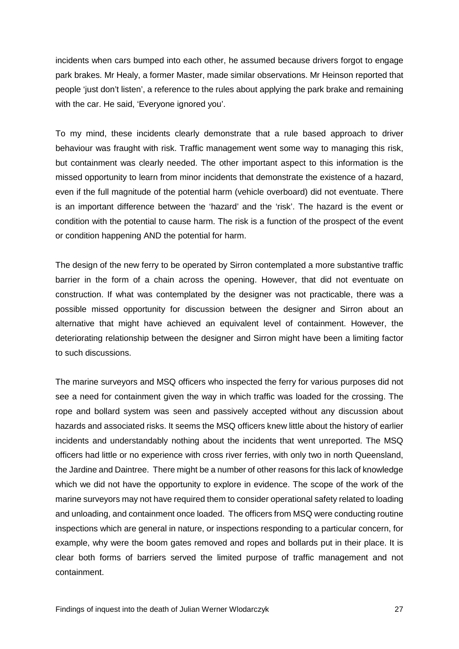incidents when cars bumped into each other, he assumed because drivers forgot to engage park brakes. Mr Healy, a former Master, made similar observations. Mr Heinson reported that people 'just don't listen', a reference to the rules about applying the park brake and remaining with the car. He said, 'Everyone ignored you'.

To my mind, these incidents clearly demonstrate that a rule based approach to driver behaviour was fraught with risk. Traffic management went some way to managing this risk, but containment was clearly needed. The other important aspect to this information is the missed opportunity to learn from minor incidents that demonstrate the existence of a hazard, even if the full magnitude of the potential harm (vehicle overboard) did not eventuate. There is an important difference between the 'hazard' and the 'risk'. The hazard is the event or condition with the potential to cause harm. The risk is a function of the prospect of the event or condition happening AND the potential for harm.

The design of the new ferry to be operated by Sirron contemplated a more substantive traffic barrier in the form of a chain across the opening. However, that did not eventuate on construction. If what was contemplated by the designer was not practicable, there was a possible missed opportunity for discussion between the designer and Sirron about an alternative that might have achieved an equivalent level of containment. However, the deteriorating relationship between the designer and Sirron might have been a limiting factor to such discussions.

The marine surveyors and MSQ officers who inspected the ferry for various purposes did not see a need for containment given the way in which traffic was loaded for the crossing. The rope and bollard system was seen and passively accepted without any discussion about hazards and associated risks. It seems the MSQ officers knew little about the history of earlier incidents and understandably nothing about the incidents that went unreported. The MSQ officers had little or no experience with cross river ferries, with only two in north Queensland, the Jardine and Daintree. There might be a number of other reasons for this lack of knowledge which we did not have the opportunity to explore in evidence. The scope of the work of the marine surveyors may not have required them to consider operational safety related to loading and unloading, and containment once loaded. The officers from MSQ were conducting routine inspections which are general in nature, or inspections responding to a particular concern, for example, why were the boom gates removed and ropes and bollards put in their place. It is clear both forms of barriers served the limited purpose of traffic management and not containment.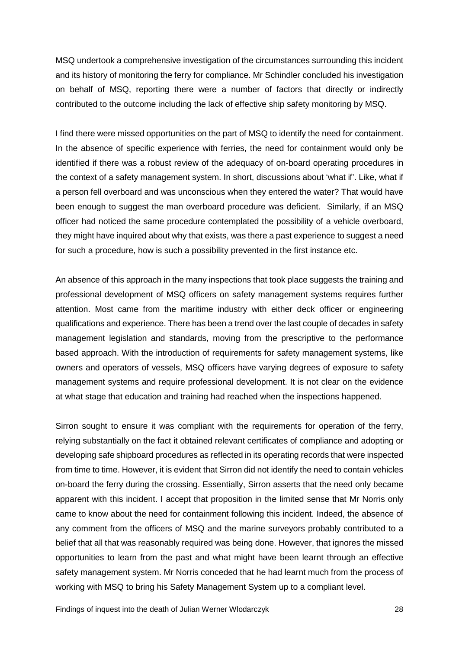MSQ undertook a comprehensive investigation of the circumstances surrounding this incident and its history of monitoring the ferry for compliance. Mr Schindler concluded his investigation on behalf of MSQ, reporting there were a number of factors that directly or indirectly contributed to the outcome including the lack of effective ship safety monitoring by MSQ.

I find there were missed opportunities on the part of MSQ to identify the need for containment. In the absence of specific experience with ferries, the need for containment would only be identified if there was a robust review of the adequacy of on-board operating procedures in the context of a safety management system. In short, discussions about 'what if'. Like, what if a person fell overboard and was unconscious when they entered the water? That would have been enough to suggest the man overboard procedure was deficient. Similarly, if an MSQ officer had noticed the same procedure contemplated the possibility of a vehicle overboard, they might have inquired about why that exists, was there a past experience to suggest a need for such a procedure, how is such a possibility prevented in the first instance etc.

An absence of this approach in the many inspections that took place suggests the training and professional development of MSQ officers on safety management systems requires further attention. Most came from the maritime industry with either deck officer or engineering qualifications and experience. There has been a trend over the last couple of decades in safety management legislation and standards, moving from the prescriptive to the performance based approach. With the introduction of requirements for safety management systems, like owners and operators of vessels, MSQ officers have varying degrees of exposure to safety management systems and require professional development. It is not clear on the evidence at what stage that education and training had reached when the inspections happened.

Sirron sought to ensure it was compliant with the requirements for operation of the ferry, relying substantially on the fact it obtained relevant certificates of compliance and adopting or developing safe shipboard procedures as reflected in its operating records that were inspected from time to time. However, it is evident that Sirron did not identify the need to contain vehicles on-board the ferry during the crossing. Essentially, Sirron asserts that the need only became apparent with this incident. I accept that proposition in the limited sense that Mr Norris only came to know about the need for containment following this incident. Indeed, the absence of any comment from the officers of MSQ and the marine surveyors probably contributed to a belief that all that was reasonably required was being done. However, that ignores the missed opportunities to learn from the past and what might have been learnt through an effective safety management system. Mr Norris conceded that he had learnt much from the process of working with MSQ to bring his Safety Management System up to a compliant level.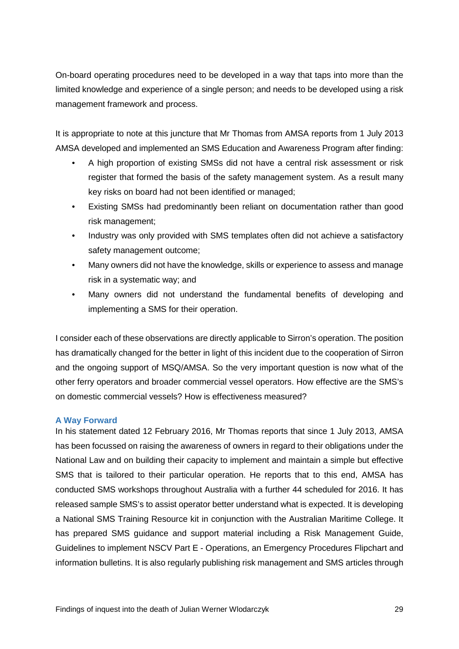On-board operating procedures need to be developed in a way that taps into more than the limited knowledge and experience of a single person; and needs to be developed using a risk management framework and process.

It is appropriate to note at this juncture that Mr Thomas from AMSA reports from 1 July 2013 AMSA developed and implemented an SMS Education and Awareness Program after finding:

- A high proportion of existing SMSs did not have a central risk assessment or risk register that formed the basis of the safety management system. As a result many key risks on board had not been identified or managed;
- Existing SMSs had predominantly been reliant on documentation rather than good risk management;
- Industry was only provided with SMS templates often did not achieve a satisfactory safety management outcome;
- Many owners did not have the knowledge, skills or experience to assess and manage risk in a systematic way; and
- Many owners did not understand the fundamental benefits of developing and implementing a SMS for their operation.

I consider each of these observations are directly applicable to Sirron's operation. The position has dramatically changed for the better in light of this incident due to the cooperation of Sirron and the ongoing support of MSQ/AMSA. So the very important question is now what of the other ferry operators and broader commercial vessel operators. How effective are the SMS's on domestic commercial vessels? How is effectiveness measured?

## <span id="page-30-0"></span>**A Way Forward**

In his statement dated 12 February 2016, Mr Thomas reports that since 1 July 2013, AMSA has been focussed on raising the awareness of owners in regard to their obligations under the National Law and on building their capacity to implement and maintain a simple but effective SMS that is tailored to their particular operation. He reports that to this end, AMSA has conducted SMS workshops throughout Australia with a further 44 scheduled for 2016. It has released sample SMS's to assist operator better understand what is expected. It is developing a National SMS Training Resource kit in conjunction with the Australian Maritime College. It has prepared SMS guidance and support material including a Risk Management Guide, Guidelines to implement NSCV Part E - Operations, an Emergency Procedures Flipchart and information bulletins. It is also regularly publishing risk management and SMS articles through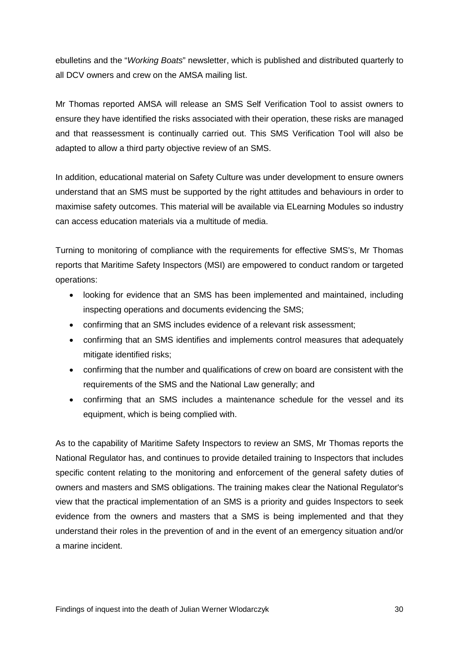ebulletins and the "*Working Boats*" newsletter, which is published and distributed quarterly to all DCV owners and crew on the AMSA mailing list.

Mr Thomas reported AMSA will release an SMS Self Verification Tool to assist owners to ensure they have identified the risks associated with their operation, these risks are managed and that reassessment is continually carried out. This SMS Verification Tool will also be adapted to allow a third party objective review of an SMS.

In addition, educational material on Safety Culture was under development to ensure owners understand that an SMS must be supported by the right attitudes and behaviours in order to maximise safety outcomes. This material will be available via ELearning Modules so industry can access education materials via a multitude of media.

Turning to monitoring of compliance with the requirements for effective SMS's, Mr Thomas reports that Maritime Safety Inspectors (MSI) are empowered to conduct random or targeted operations:

- looking for evidence that an SMS has been implemented and maintained, including inspecting operations and documents evidencing the SMS;
- confirming that an SMS includes evidence of a relevant risk assessment;
- confirming that an SMS identifies and implements control measures that adequately mitigate identified risks;
- confirming that the number and qualifications of crew on board are consistent with the requirements of the SMS and the National Law generally; and
- confirming that an SMS includes a maintenance schedule for the vessel and its equipment, which is being complied with.

As to the capability of Maritime Safety Inspectors to review an SMS, Mr Thomas reports the National Regulator has, and continues to provide detailed training to Inspectors that includes specific content relating to the monitoring and enforcement of the general safety duties of owners and masters and SMS obligations. The training makes clear the National Regulator's view that the practical implementation of an SMS is a priority and guides Inspectors to seek evidence from the owners and masters that a SMS is being implemented and that they understand their roles in the prevention of and in the event of an emergency situation and/or a marine incident.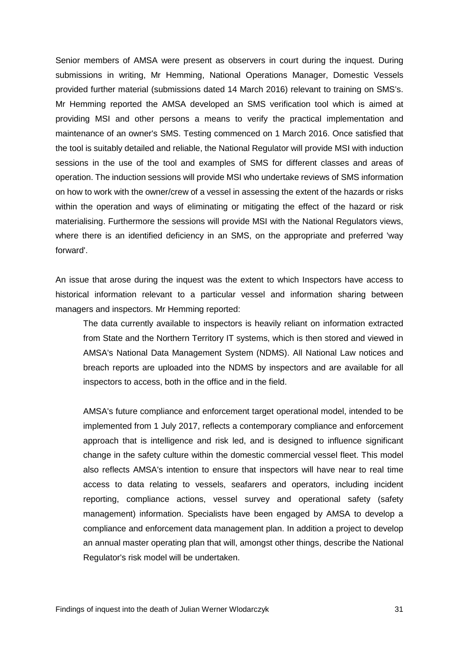Senior members of AMSA were present as observers in court during the inquest. During submissions in writing, Mr Hemming, National Operations Manager, Domestic Vessels provided further material (submissions dated 14 March 2016) relevant to training on SMS's. Mr Hemming reported the AMSA developed an SMS verification tool which is aimed at providing MSI and other persons a means to verify the practical implementation and maintenance of an owner's SMS. Testing commenced on 1 March 2016. Once satisfied that the tool is suitably detailed and reliable, the National Regulator will provide MSI with induction sessions in the use of the tool and examples of SMS for different classes and areas of operation. The induction sessions will provide MSI who undertake reviews of SMS information on how to work with the owner/crew of a vessel in assessing the extent of the hazards or risks within the operation and ways of eliminating or mitigating the effect of the hazard or risk materialising. Furthermore the sessions will provide MSI with the National Regulators views, where there is an identified deficiency in an SMS, on the appropriate and preferred 'way forward'.

An issue that arose during the inquest was the extent to which Inspectors have access to historical information relevant to a particular vessel and information sharing between managers and inspectors. Mr Hemming reported:

The data currently available to inspectors is heavily reliant on information extracted from State and the Northern Territory IT systems, which is then stored and viewed in AMSA's National Data Management System (NDMS). All National Law notices and breach reports are uploaded into the NDMS by inspectors and are available for all inspectors to access, both in the office and in the field.

AMSA's future compliance and enforcement target operational model, intended to be implemented from 1 July 2017, reflects a contemporary compliance and enforcement approach that is intelligence and risk led, and is designed to influence significant change in the safety culture within the domestic commercial vessel fleet. This model also reflects AMSA's intention to ensure that inspectors will have near to real time access to data relating to vessels, seafarers and operators, including incident reporting, compliance actions, vessel survey and operational safety (safety management) information. Specialists have been engaged by AMSA to develop a compliance and enforcement data management plan. In addition a project to develop an annual master operating plan that will, amongst other things, describe the National Regulator's risk model will be undertaken.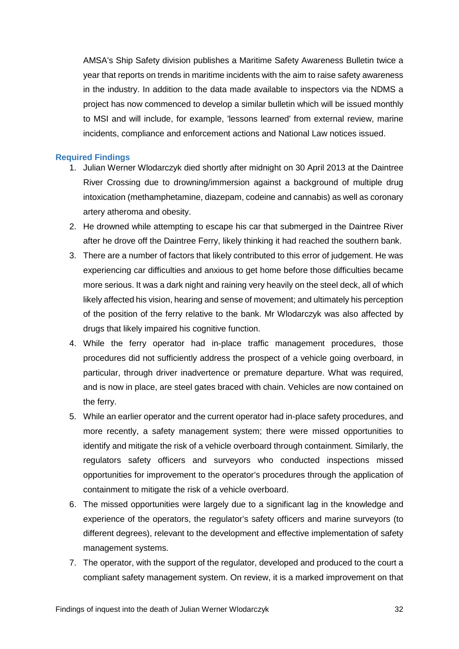AMSA's Ship Safety division publishes a Maritime Safety Awareness Bulletin twice a year that reports on trends in maritime incidents with the aim to raise safety awareness in the industry. In addition to the data made available to inspectors via the NDMS a project has now commenced to develop a similar bulletin which will be issued monthly to MSI and will include, for example, 'lessons learned' from external review, marine incidents, compliance and enforcement actions and National Law notices issued.

## <span id="page-33-0"></span>**Required Findings**

- 1. Julian Werner Wlodarczyk died shortly after midnight on 30 April 2013 at the Daintree River Crossing due to drowning/immersion against a background of multiple drug intoxication (methamphetamine, diazepam, codeine and cannabis) as well as coronary artery atheroma and obesity.
- 2. He drowned while attempting to escape his car that submerged in the Daintree River after he drove off the Daintree Ferry, likely thinking it had reached the southern bank.
- 3. There are a number of factors that likely contributed to this error of judgement. He was experiencing car difficulties and anxious to get home before those difficulties became more serious. It was a dark night and raining very heavily on the steel deck, all of which likely affected his vision, hearing and sense of movement; and ultimately his perception of the position of the ferry relative to the bank. Mr Wlodarczyk was also affected by drugs that likely impaired his cognitive function.
- 4. While the ferry operator had in-place traffic management procedures, those procedures did not sufficiently address the prospect of a vehicle going overboard, in particular, through driver inadvertence or premature departure. What was required, and is now in place, are steel gates braced with chain. Vehicles are now contained on the ferry.
- 5. While an earlier operator and the current operator had in-place safety procedures, and more recently, a safety management system; there were missed opportunities to identify and mitigate the risk of a vehicle overboard through containment. Similarly, the regulators safety officers and surveyors who conducted inspections missed opportunities for improvement to the operator's procedures through the application of containment to mitigate the risk of a vehicle overboard.
- 6. The missed opportunities were largely due to a significant lag in the knowledge and experience of the operators, the regulator's safety officers and marine surveyors (to different degrees), relevant to the development and effective implementation of safety management systems.
- 7. The operator, with the support of the regulator, developed and produced to the court a compliant safety management system. On review, it is a marked improvement on that